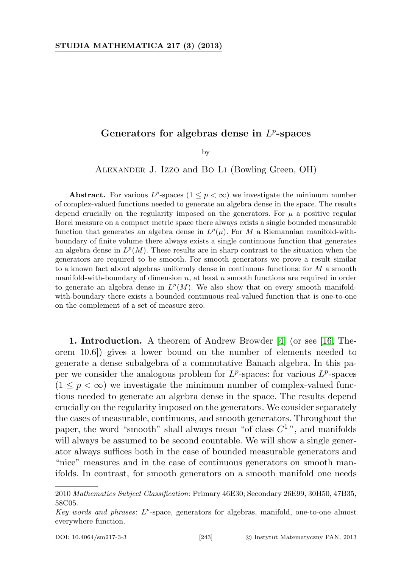## Generators for algebras dense in  $L^p$ -spaces

by

Alexander J. Izzo and Bo Li (Bowling Green, OH)

Abstract. For various  $L^p$ -spaces  $(1 \leq p < \infty)$  we investigate the minimum number of complex-valued functions needed to generate an algebra dense in the space. The results depend crucially on the regularity imposed on the generators. For  $\mu$  a positive regular Borel measure on a compact metric space there always exists a single bounded measurable function that generates an algebra dense in  $L^p(\mu)$ . For M a Riemannian manifold-withboundary of finite volume there always exists a single continuous function that generates an algebra dense in  $L^p(M)$ . These results are in sharp contrast to the situation when the generators are required to be smooth. For smooth generators we prove a result similar to a known fact about algebras uniformly dense in continuous functions: for  $M$  a smooth manifold-with-boundary of dimension  $n$ , at least  $n$  smooth functions are required in order to generate an algebra dense in  $L^p(M)$ . We also show that on every smooth manifoldwith-boundary there exists a bounded continuous real-valued function that is one-to-one on the complement of a set of measure zero.

1. Introduction. A theorem of Andrew Browder [\[4\]](#page-19-0) (or see [\[16,](#page-19-1) Theorem 10.6]) gives a lower bound on the number of elements needed to generate a dense subalgebra of a commutative Banach algebra. In this paper we consider the analogous problem for  $L^p$ -spaces: for various  $L^p$ -spaces  $(1 \leq p < \infty)$  we investigate the minimum number of complex-valued functions needed to generate an algebra dense in the space. The results depend crucially on the regularity imposed on the generators. We consider separately the cases of measurable, continuous, and smooth generators. Throughout the paper, the word "smooth" shall always mean "of class  $C^{1}$ ", and manifolds will always be assumed to be second countable. We will show a single generator always suffices both in the case of bounded measurable generators and "nice" measures and in the case of continuous generators on smooth manifolds. In contrast, for smooth generators on a smooth manifold one needs

<sup>2010</sup> Mathematics Subject Classification: Primary 46E30; Secondary 26E99, 30H50, 47B35, 58C05.

Key words and phrases:  $L^p$ -space, generators for algebras, manifold, one-to-one almost everywhere function.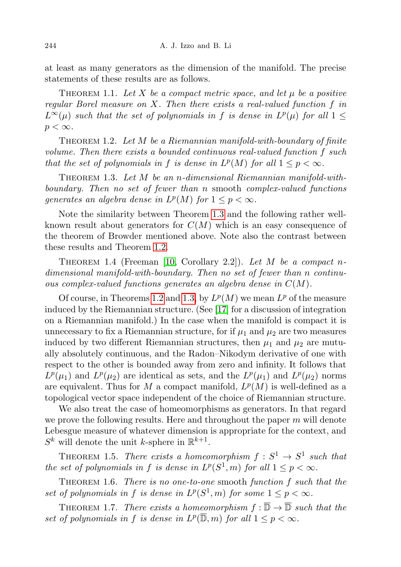at least as many generators as the dimension of the manifold. The precise statements of these results are as follows.

<span id="page-1-5"></span>THEOREM 1.1. Let X be a compact metric space, and let  $\mu$  be a positive regular Borel measure on X. Then there exists a real-valued function  $f$  in  $L^{\infty}(\mu)$  such that the set of polynomials in f is dense in  $L^{p}(\mu)$  for all  $1 \leq$  $p < \infty$ .

<span id="page-1-1"></span>THEOREM 1.2. Let  $M$  be a Riemannian manifold-with-boundary of finite volume. Then there exists a bounded continuous real-valued function f such that the set of polynomials in f is dense in  $L^p(M)$  for all  $1 \leq p < \infty$ .

<span id="page-1-0"></span>THEOREM 1.3. Let  $M$  be an n-dimensional Riemannian manifold-withboundary. Then no set of fewer than n smooth complex-valued functions generates an algebra dense in  $L^p(M)$  for  $1 \leq p < \infty$ .

Note the similarity between Theorem [1.3](#page-1-0) and the following rather wellknown result about generators for  $C(M)$  which is an easy consequence of the theorem of Browder mentioned above. Note also the contrast between these results and Theorem [1.2.](#page-1-1)

<span id="page-1-6"></span>THEOREM 1.4 (Freeman [\[10,](#page-19-2) Corollary 2.2]). Let M be a compact ndimensional manifold-with-boundary. Then no set of fewer than n continuous complex-valued functions generates an algebra dense in  $C(M)$ .

Of course, in Theorems [1.2](#page-1-1) and [1.3,](#page-1-0) by  $L^p(M)$  we mean  $L^p$  of the measure induced by the Riemannian structure. (See [\[17\]](#page-19-3) for a discussion of integration on a Riemannian manifold.) In the case when the manifold is compact it is unnecessary to fix a Riemannian structure, for if  $\mu_1$  and  $\mu_2$  are two measures induced by two different Riemannian structures, then  $\mu_1$  and  $\mu_2$  are mutually absolutely continuous, and the Radon–Nikodym derivative of one with respect to the other is bounded away from zero and infinity. It follows that  $L^p(\mu_1)$  and  $L^p(\mu_2)$  are identical as sets, and the  $L^p(\mu_1)$  and  $L^p(\mu_2)$  norms are equivalent. Thus for M a compact manifold,  $L^p(M)$  is well-defined as a topological vector space independent of the choice of Riemannian structure.

We also treat the case of homeomorphisms as generators. In that regard we prove the following results. Here and throughout the paper  $m$  will denote Lebesgue measure of whatever dimension is appropriate for the context, and  $S^k$  will denote the unit k-sphere in  $\mathbb{R}^{k+1}$ .

<span id="page-1-3"></span>THEOREM 1.5. There exists a homeomorphism  $f: S^1 \to S^1$  such that the set of polynomials in f is dense in  $L^p(S^1, m)$  for all  $1 \leq p < \infty$ .

<span id="page-1-7"></span>THEOREM 1.6. There is no one-to-one smooth function  $f$  such that the set of polynomials in f is dense in  $L^p(S^1, m)$  for some  $1 \leq p < \infty$ .

<span id="page-1-4"></span><span id="page-1-2"></span>THEOREM 1.7. There exists a homeomorphism  $f : \overline{\mathbb{D}} \to \overline{\mathbb{D}}$  such that the set of polynomials in f is dense in  $L^p(\overline{\mathbb{D}},m)$  for all  $1 \leq p < \infty$ .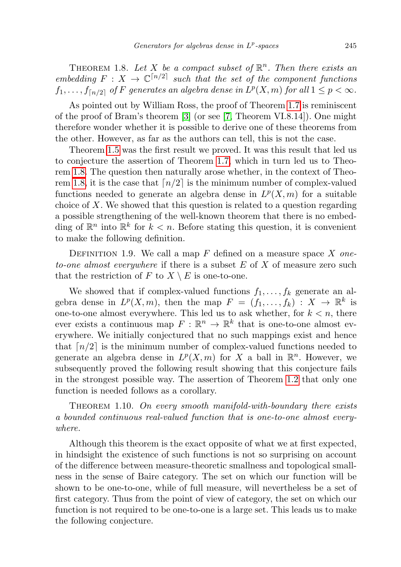THEOREM 1.8. Let X be a compact subset of  $\mathbb{R}^n$ . Then there exists an embedding  $F: X \to \mathbb{C}^{n/2}$  such that the set of the component functions  $f_1, \ldots, f_{\lceil n/2 \rceil}$  of F generates an algebra dense in  $L^p(X, m)$  for all  $1 \leq p < \infty$ .

As pointed out by William Ross, the proof of Theorem [1.7](#page-1-2) is reminiscent of the proof of Bram's theorem [\[3\]](#page-19-4) (or see [\[7,](#page-19-5) Theorem VI.8.14]). One might therefore wonder whether it is possible to derive one of these theorems from the other. However, as far as the authors can tell, this is not the case.

Theorem [1.5](#page-1-3) was the first result we proved. It was this result that led us to conjecture the assertion of Theorem [1.7,](#page-1-2) which in turn led us to Theorem [1.8.](#page-1-4) The question then naturally arose whether, in the context of Theo-rem [1.8,](#page-1-4) it is the case that  $\lceil n/2 \rceil$  is the minimum number of complex-valued functions needed to generate an algebra dense in  $L^p(X,m)$  for a suitable choice of X. We showed that this question is related to a question regarding a possible strengthening of the well-known theorem that there is no embedding of  $\mathbb{R}^n$  into  $\mathbb{R}^k$  for  $k < n$ . Before stating this question, it is convenient to make the following definition.

DEFINITION 1.9. We call a map  $F$  defined on a measure space  $X$  oneto-one almost everywhere if there is a subset  $E$  of  $X$  of measure zero such that the restriction of F to  $X \setminus E$  is one-to-one.

We showed that if complex-valued functions  $f_1, \ldots, f_k$  generate an algebra dense in  $L^p(X,m)$ , then the map  $F = (f_1, \ldots, f_k) : X \to \mathbb{R}^k$  is one-to-one almost everywhere. This led us to ask whether, for  $k < n$ , there ever exists a continuous map  $F: \mathbb{R}^n \to \mathbb{R}^k$  that is one-to-one almost everywhere. We initially conjectured that no such mappings exist and hence that  $\lceil n/2 \rceil$  is the minimum number of complex-valued functions needed to generate an algebra dense in  $L^p(X,m)$  for X a ball in  $\mathbb{R}^n$ . However, we subsequently proved the following result showing that this conjecture fails in the strongest possible way. The assertion of Theorem [1.2](#page-1-1) that only one function is needed follows as a corollary.

<span id="page-2-0"></span>THEOREM 1.10. On every smooth manifold-with-boundary there exists a bounded continuous real-valued function that is one-to-one almost everywhere.

Although this theorem is the exact opposite of what we at first expected, in hindsight the existence of such functions is not so surprising on account of the difference between measure-theoretic smallness and topological smallness in the sense of Baire category. The set on which our function will be shown to be one-to-one, while of full measure, will nevertheless be a set of first category. Thus from the point of view of category, the set on which our function is not required to be one-to-one is a large set. This leads us to make the following conjecture.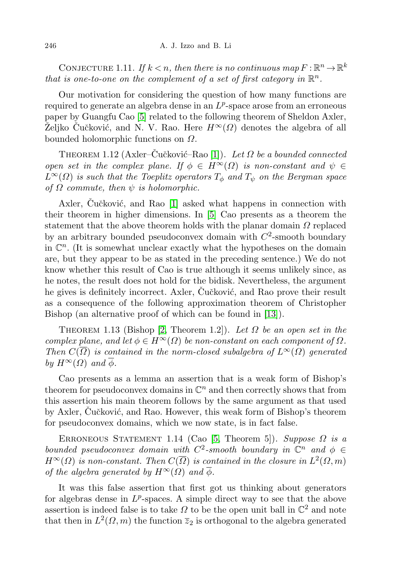CONJECTURE 1.11. If  $k < n$ , then there is no continuous map  $F : \mathbb{R}^n \to \mathbb{R}^k$ that is one-to-one on the complement of a set of first category in  $\mathbb{R}^n$ .

Our motivation for considering the question of how many functions are required to generate an algebra dense in an  $L^p$ -space arose from an erroneous paper by Guangfu Cao [\[5\]](#page-19-6) related to the following theorem of Sheldon Axler, Željko Čučković, and N. V. Rao. Here  $H^{\infty}(\Omega)$  denotes the algebra of all bounded holomorphic functions on  $\Omega$ .

THEOREM 1.12 (Axler–Čučković–Rao [\[1\]](#page-19-7)). Let  $\Omega$  be a bounded connected open set in the complex plane. If  $\phi \in H^{\infty}(\Omega)$  is non-constant and  $\psi \in$  $L^{\infty}(\Omega)$  is such that the Toeplitz operators  $T_{\phi}$  and  $T_{\psi}$  on the Bergman space of  $\Omega$  commute, then  $\psi$  is holomorphic.

Axler, Cučković, and Rao [\[1\]](#page-19-7) asked what happens in connection with their theorem in higher dimensions. In [\[5\]](#page-19-6) Cao presents as a theorem the statement that the above theorem holds with the planar domain  $\Omega$  replaced by an arbitrary bounded pseudoconvex domain with  $C^2$ -smooth boundary in  $\mathbb{C}^n$ . (It is somewhat unclear exactly what the hypotheses on the domain are, but they appear to be as stated in the preceding sentence.) We do not know whether this result of Cao is true although it seems unlikely since, as he notes, the result does not hold for the bidisk. Nevertheless, the argument he gives is definitely incorrect. Axler, Cučković, and Rao prove their result as a consequence of the following approximation theorem of Christopher Bishop (an alternative proof of which can be found in [\[13\]](#page-19-8)).

THEOREM 1.13 (Bishop [\[2,](#page-19-9) Theorem 1.2]). Let  $\Omega$  be an open set in the complex plane, and let  $\phi \in H^{\infty}(\Omega)$  be non-constant on each component of  $\Omega$ . Then  $C(\overline{\Omega})$  is contained in the norm-closed subalgebra of  $L^{\infty}(\Omega)$  generated by  $H^{\infty}(\Omega)$  and  $\overline{\phi}$ .

Cao presents as a lemma an assertion that is a weak form of Bishop's theorem for pseudoconvex domains in  $\mathbb{C}^n$  and then correctly shows that from this assertion his main theorem follows by the same argument as that used by Axler, Cučković, and Rao. However, this weak form of Bishop's theorem for pseudoconvex domains, which we now state, is in fact false.

<span id="page-3-0"></span>ERRONEOUS STATEMENT 1.14 (Cao [\[5,](#page-19-6) Theorem 5]). Suppose  $\Omega$  is a bounded pseudoconvex domain with  $C^2$ -smooth boundary in  $\mathbb{C}^n$  and  $\phi \in$  $H^{\infty}(\Omega)$  is non-constant. Then  $C(\overline{\Omega})$  is contained in the closure in  $L^2(\Omega,m)$ of the algebra generated by  $H^{\infty}(\Omega)$  and  $\phi$ .

It was this false assertion that first got us thinking about generators for algebras dense in  $L^p$ -spaces. A simple direct way to see that the above assertion is indeed false is to take  $\Omega$  to be the open unit ball in  $\mathbb{C}^2$  and note that then in  $L^2(\Omega, m)$  the function  $\overline{z}_2$  is orthogonal to the algebra generated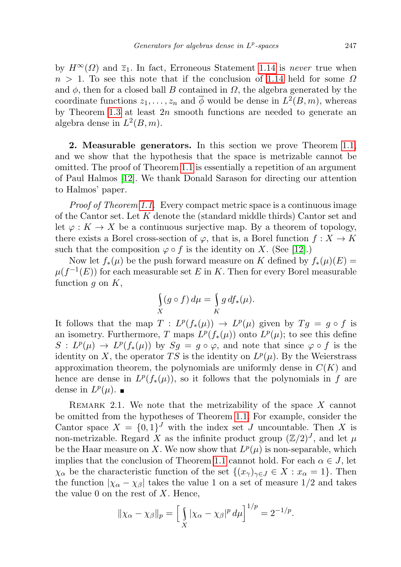by  $H^{\infty}(\Omega)$  and  $\overline{z}_1$ . In fact, Erroneous Statement [1.14](#page-3-0) is never true when  $n > 1$ . To see this note that if the conclusion of [1.14](#page-3-0) held for some  $\Omega$ and  $\phi$ , then for a closed ball B contained in  $\Omega$ , the algebra generated by the coordinate functions  $z_1, \ldots, z_n$  and  $\overline{\phi}$  would be dense in  $L^2(B, m)$ , whereas by Theorem [1.3](#page-1-0) at least  $2n$  smooth functions are needed to generate an algebra dense in  $L^2(B, m)$ .

2. Measurable generators. In this section we prove Theorem [1.1,](#page-1-5) and we show that the hypothesis that the space is metrizable cannot be omitted. The proof of Theorem [1.1](#page-1-5) is essentially a repetition of an argument of Paul Halmos [\[12\]](#page-19-10). We thank Donald Sarason for directing our attention to Halmos' paper.

Proof of Theorem [1.1.](#page-1-5) Every compact metric space is a continuous image of the Cantor set. Let K denote the (standard middle thirds) Cantor set and let  $\varphi: K \to X$  be a continuous surjective map. By a theorem of topology, there exists a Borel cross-section of  $\varphi$ , that is, a Borel function  $f: X \to K$ such that the composition  $\varphi \circ f$  is the identity on X. (See [\[12\]](#page-19-10).)

Now let  $f_*(\mu)$  be the push forward measure on K defined by  $f_*(\mu)(E) =$  $\mu(f^{-1}(E))$  for each measurable set E in K. Then for every Borel measurable function  $g$  on  $K$ ,

$$
\int\limits_X (g \circ f) \, d\mu = \int\limits_K g \, df_*(\mu).
$$

It follows that the map  $T: L^p(f_*(\mu)) \to L^p(\mu)$  given by  $Tg = g \circ f$  is an isometry. Furthermore, T maps  $L^p(f_*(\mu))$  onto  $L^p(\mu)$ ; to see this define  $S: L^p(\mu) \to L^p(f_*(\mu))$  by  $S_g = g \circ \varphi$ , and note that since  $\varphi \circ f$  is the identity on X, the operator TS is the identity on  $L^p(\mu)$ . By the Weierstrass approximation theorem, the polynomials are uniformly dense in  $C(K)$  and hence are dense in  $L^p(f_*(\mu))$ , so it follows that the polynomials in f are dense in  $L^p(\mu)$ .

REMARK 2.1. We note that the metrizability of the space  $X$  cannot be omitted from the hypotheses of Theorem [1.1.](#page-1-5) For example, consider the Cantor space  $X = \{0,1\}^J$  with the index set J uncountable. Then X is non-metrizable. Regard X as the infinite product group  $(\mathbb{Z}/2)^J$ , and let  $\mu$ be the Haar measure on X. We now show that  $L^p(\mu)$  is non-separable, which implies that the conclusion of Theorem [1.1](#page-1-5) cannot hold. For each  $\alpha \in J$ , let  $\chi_{\alpha}$  be the characteristic function of the set  $\{(x_{\gamma})_{\gamma\in J}\in X:x_{\alpha}=1\}$ . Then the function  $|\chi_{\alpha} - \chi_{\beta}|$  takes the value 1 on a set of measure 1/2 and takes the value 0 on the rest of  $X$ . Hence,

$$
\|\chi_{\alpha} - \chi_{\beta}\|_{p} = \left[ \int\limits_X |\chi_{\alpha} - \chi_{\beta}|^p \, d\mu \right]^{1/p} = 2^{-1/p}.
$$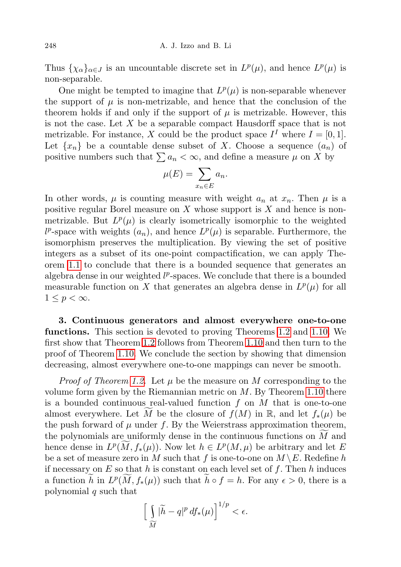Thus  $\{\chi_{\alpha}\}_{{\alpha \in J}}$  is an uncountable discrete set in  $L^p(\mu)$ , and hence  $L^p(\mu)$  is non-separable.

One might be tempted to imagine that  $L^p(\mu)$  is non-separable whenever the support of  $\mu$  is non-metrizable, and hence that the conclusion of the theorem holds if and only if the support of  $\mu$  is metrizable. However, this is not the case. Let X be a separable compact Hausdorff space that is not metrizable. For instance, X could be the product space  $I^I$  where  $I = [0, 1]$ . Let  $\{x_n\}$  be a countable dense subset of X. Choose a sequence  $(a_n)$  of positive numbers such that  $\sum a_n < \infty$ , and define a measure  $\mu$  on X by

$$
\mu(E) = \sum_{x_n \in E} a_n.
$$

In other words,  $\mu$  is counting measure with weight  $a_n$  at  $x_n$ . Then  $\mu$  is a positive regular Borel measure on  $X$  whose support is  $X$  and hence is nonmetrizable. But  $L^p(\mu)$  is clearly isometrically isomorphic to the weighted  $l^p$ -space with weights  $(a_n)$ , and hence  $L^p(\mu)$  is separable. Furthermore, the isomorphism preserves the multiplication. By viewing the set of positive integers as a subset of its one-point compactification, we can apply Theorem [1.1](#page-1-5) to conclude that there is a bounded sequence that generates an algebra dense in our weighted  $l^p$ -spaces. We conclude that there is a bounded measurable function on X that generates an algebra dense in  $L^p(\mu)$  for all  $1 \leq p < \infty$ .

3. Continuous generators and almost everywhere one-to-one functions. This section is devoted to proving Theorems [1.2](#page-1-1) and [1.10.](#page-2-0) We first show that Theorem [1.2](#page-1-1) follows from Theorem [1.10](#page-2-0) and then turn to the proof of Theorem [1.10.](#page-2-0) We conclude the section by showing that dimension decreasing, almost everywhere one-to-one mappings can never be smooth.

*Proof of Theorem [1.2.](#page-1-1)* Let  $\mu$  be the measure on M corresponding to the volume form given by the Riemannian metric on  $M$ . By Theorem [1.10](#page-2-0) there is a bounded continuous real-valued function  $f$  on  $M$  that is one-to-one almost everywhere. Let M be the closure of  $f(M)$  in R, and let  $f_*(\mu)$  be the push forward of  $\mu$  under f. By the Weierstrass approximation theorem, the polynomials are uniformly dense in the continuous functions on  $M$  and hence dense in  $L^p(M, f_*(\mu))$ . Now let  $h \in L^p(M, \mu)$  be arbitrary and let E be a set of measure zero in  $M$  such that  $f$  is one-to-one on  $M \setminus E$ . Redefine  $h$ if necessary on  $E$  so that h is constant on each level set of f. Then h induces a function  $\widetilde{h}$  in  $L^p(M, f_*(\mu))$  such that  $\widetilde{h} \circ f = h$ . For any  $\epsilon > 0$ , there is a polynomial  $q$  such that

$$
\left[\int\limits_{\widetilde{M}}|\widetilde{h}-q|^p\,df_*(\mu)\right]^{1/p}<\epsilon.
$$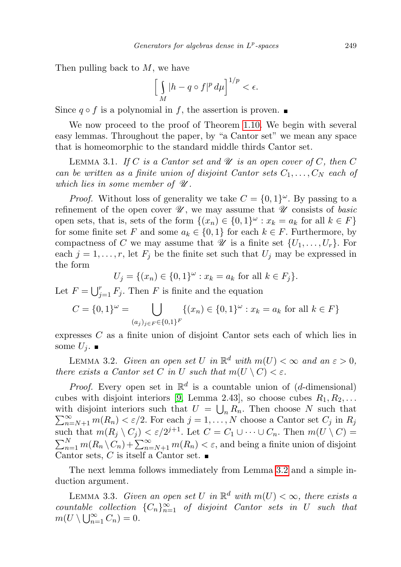Then pulling back to  $M$ , we have

$$
\left[\int\limits_M |h - q \circ f|^p \, d\mu\right]^{1/p} < \epsilon.
$$

Since  $q \circ f$  is a polynomial in f, the assertion is proven.

We now proceed to the proof of Theorem [1.10.](#page-2-0) We begin with several easy lemmas. Throughout the paper, by "a Cantor set" we mean any space that is homeomorphic to the standard middle thirds Cantor set.

<span id="page-6-3"></span>LEMMA 3.1. If C is a Cantor set and  $\mathcal U$  is an open cover of C, then C can be written as a finite union of disjoint Cantor sets  $C_1, \ldots, C_N$  each of which lies in some member of  $\mathscr U$ .

*Proof.* Without loss of generality we take  $C = \{0,1\}^{\omega}$ . By passing to a refinement of the open cover  $\mathscr U$ , we may assume that  $\mathscr U$  consists of basic open sets, that is, sets of the form  $\{(x_n) \in \{0,1\}^\omega : x_k = a_k \text{ for all } k \in F\}$ for some finite set F and some  $a_k \in \{0,1\}$  for each  $k \in F$ . Furthermore, by compactness of C we may assume that  $\mathscr U$  is a finite set  $\{U_1, \ldots, U_r\}$ . For each  $j = 1, \ldots, r$ , let  $F_j$  be the finite set such that  $U_j$  may be expressed in the form

$$
U_j = \{(x_n) \in \{0, 1\}^\omega : x_k = a_k \text{ for all } k \in F_j\}.
$$

Let  $F = \bigcup_{j=1}^r F_j$ . Then F is finite and the equation

$$
C = \{0, 1\}^{\omega} = \bigcup_{(a_j)_{j \in F} \in \{0, 1\}^F} \{(x_n) \in \{0, 1\}^{\omega} : x_k = a_k \text{ for all } k \in F\}
$$

expresses C as a finite union of disjoint Cantor sets each of which lies in some  $U_j$ .

<span id="page-6-0"></span>LEMMA 3.2. Given an open set U in  $\mathbb{R}^d$  with  $m(U) < \infty$  and an  $\varepsilon > 0$ , there exists a Cantor set C in U such that  $m(U \setminus C) < \varepsilon$ .

*Proof.* Every open set in  $\mathbb{R}^d$  is a countable union of (*d*-dimensional) cubes with disjoint interiors [\[9,](#page-19-11) Lemma 2.43], so choose cubes  $R_1, R_2, \ldots$ with disjoint interiors such that  $U = \bigcup$ with disjoint interiors such that  $U = \bigcup_n R_n$ . Then choose N such that  $\sum_{n=N+1}^{\infty} m(R_n) < \varepsilon/2$ . For each  $j = 1, ..., N$  choose a Cantor set  $C_j$  in  $R_j$ such that  $m(R_j \setminus C_j) < \varepsilon/2^{j+1}$ . Let  $C = C_1 \cup \cdots \cup C_n$ . Then  $m(U \setminus C)$  $\sum_{n=1}^{N} m(R_n \setminus C_n) + \sum_{n=N+1}^{\infty} m(R_n) < \varepsilon$ , and being a finite union of disjoint Cantor sets, C is itself a Cantor set.  $\blacksquare$ 

The next lemma follows immediately from Lemma [3.2](#page-6-0) and a simple induction argument.

<span id="page-6-2"></span><span id="page-6-1"></span>LEMMA 3.3. Given an open set U in  $\mathbb{R}^d$  with  $m(U) < \infty$ , there exists a countable collection  ${C_n}_{n=1}^{\infty}$  of disjoint Cantor sets in U such that  $m(U \setminus \bigcup_{n=1}^{\infty} C_n) = 0.$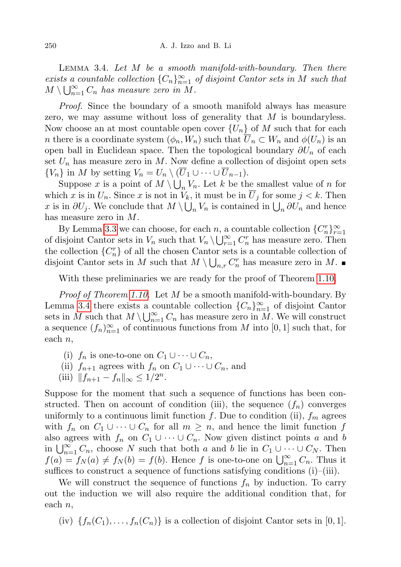LEMMA 3.4. Let  $M$  be a smooth manifold-with-boundary. Then there exists a countable collection  ${C_n}_{n=1}^{\infty}$  of disjoint Cantor sets in M such that  $M \setminus \bigcup_{n=1}^{\infty} C_n$  has measure zero in M.

Proof. Since the boundary of a smooth manifold always has measure zero, we may assume without loss of generality that  $M$  is boundaryless. Now choose an at most countable open cover  $\{U_n\}$  of M such that for each n there is a coordinate system  $(\phi_n, W_n)$  such that  $\overline{U}_n \subset W_n$  and  $\phi(U_n)$  is an open ball in Euclidean space. Then the topological boundary  $\partial U_n$  of each set  $U_n$  has measure zero in M. Now define a collection of disjoint open sets  $\{V_n\}$  in M by setting  $V_n = U_n \setminus (\overline{U}_1 \cup \cdots \cup \overline{U}_{n-1}).$ 

Suppose x is a point of  $M \setminus \bigcup_n V_n$ . Let k be the smallest value of n for which x is in  $U_n$ . Since x is not in  $V_k$ , it must be in  $U_j$  for some  $j < k$ . Then x is in  $\partial U_j$ . We conclude that  $M \setminus \bigcup_n V_n$  is contained in  $\bigcup_n \partial U_n$  and hence has measure zero in M.

By Lemma [3.3](#page-6-1) we can choose, for each n, a countable collection  ${C_n^r}_{r=1}^{\infty}$ of disjoint Cantor sets in  $V_n$  such that  $V_n \setminus \bigcup_{r=1}^{\infty} C_n^r$  has measure zero. Then the collection  $\{C_n^r\}$  of all the chosen Cantor sets is a countable collection of disjoint Cantor sets in M such that  $M \setminus \bigcup_{n,r} C_n^r$  has measure zero in M.

With these preliminaries we are ready for the proof of Theorem [1.10.](#page-2-0)

*Proof of Theorem [1.10.](#page-2-0)* Let  $M$  be a smooth manifold-with-boundary. By Lemma [3.4](#page-6-2) there exists a countable collection  ${C_n}_{n=1}^{\infty}$  of disjoint Cantor sets in M such that  $M \setminus \bigcup_{n=1}^{\infty} C_n$  has measure zero in M. We will construct a sequence  $(f_n)_{n=1}^{\infty}$  of continuous functions from M into  $[0,1]$  such that, for each  $n$ ,

- (i)  $f_n$  is one-to-one on  $C_1 \cup \cdots \cup C_n$ ,
- (ii)  $f_{n+1}$  agrees with  $f_n$  on  $C_1 \cup \cdots \cup C_n$ , and
- (iii)  $||f_{n+1} f_n||_{\infty} \leq 1/2^n$ .

Suppose for the moment that such a sequence of functions has been constructed. Then on account of condition (iii), the sequence  $(f_n)$  converges uniformly to a continuous limit function f. Due to condition (ii),  $f_m$  agrees with  $f_n$  on  $C_1 \cup \cdots \cup C_n$  for all  $m \geq n$ , and hence the limit function f also agrees with  $f_n$  on  $C_1 \cup \cdots \cup C_n$ . Now given distinct points a and b in  $\bigcup_{n=1}^{\infty} C_n$ , choose N such that both a and b lie in  $C_1 \cup \cdots \cup C_N$ . Then  $f(a) = f_N(a) \neq f_N(b) = f(b)$ . Hence f is one-to-one on  $\bigcup_{n=1}^{\infty} C_n$ . Thus it suffices to construct a sequence of functions satisfying conditions (i)–(iii).

We will construct the sequence of functions  $f_n$  by induction. To carry out the induction we will also require the additional condition that, for each  $n$ ,

(iv)  ${f_n(C_1), \ldots, f_n(C_n)}$  is a collection of disjoint Cantor sets in [0, 1].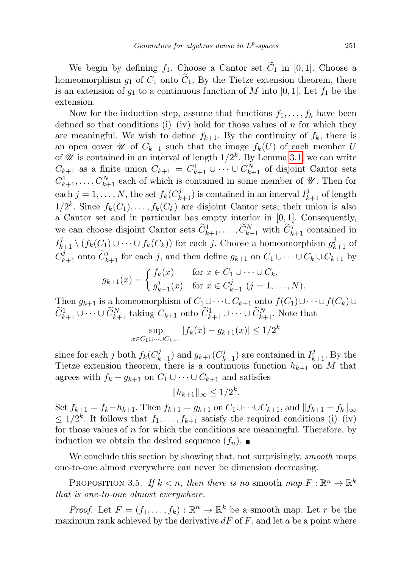We begin by defining  $f_1$ . Choose a Cantor set  $\widetilde{C}_1$  in [0, 1]. Choose a homeomorphism  $g_1$  of  $C_1$  onto  $\tilde{C}_1$ . By the Tietze extension theorem, there is an extension of  $g_1$  to a continuous function of M into [0, 1]. Let  $f_1$  be the extension.

Now for the induction step, assume that functions  $f_1, \ldots, f_k$  have been defined so that conditions (i)–(iv) hold for those values of n for which they are meaningful. We wish to define  $f_{k+1}$ . By the continuity of  $f_k$ , there is an open cover  $\mathscr U$  of  $C_{k+1}$  such that the image  $f_k(U)$  of each member U of  $\mathscr U$  is contained in an interval of length  $1/2^k$ . By Lemma [3.1,](#page-6-3) we can write  $C_{k+1}$  as a finite union  $C_{k+1} = C_{k+1}^1 \cup \cdots \cup C_{k+1}^N$  of disjoint Cantor sets  $C_{k+1}^1, \ldots, C_{k+1}^N$  each of which is contained in some member of  $\mathscr{U}$ . Then for each  $j = 1, ..., N$ , the set  $f_k(C_{k+1}^j)$  is contained in an interval  $I_{k+1}^j$  of length  $1/2^k$ . Since  $f_k(C_1), \ldots, f_k(C_k)$  are disjoint Cantor sets, their union is also a Cantor set and in particular has empty interior in  $[0, 1]$ . Consequently, we can choose disjoint Cantor sets  $\widetilde{C}_{k+1}^1, \ldots, \widetilde{C}_{k+1}^N$  with  $\widetilde{C}_{k+1}^j$  contained in  $I_{k+1}^j \setminus (f_k(C_1) \cup \cdots \cup f_k(C_k))$  for each j. Choose a homeomorphism  $g_{k+1}^j$  of  $C_{k+1}^j$  onto  $\widetilde{C}_{k+1}^j$  for each j, and then define  $g_{k+1}$  on  $C_1 \cup \cdots \cup C_k \cup C_{k+1}$  by

$$
g_{k+1}(x) = \begin{cases} f_k(x) & \text{for } x \in C_1 \cup \dots \cup C_k, \\ g_{k+1}^j(x) & \text{for } x \in C_{k+1}^j \ (j = 1, \dots, N). \end{cases}
$$

Then  $g_{k+1}$  is a homeomorphism of  $C_1 \cup \cdots \cup C_{k+1}$  onto  $f(C_1) \cup \cdots \cup f(C_k) \cup$  $\widetilde{C}_{k+1}^1 \cup \cdots \cup \widetilde{C}_{k+1}^N$  taking  $C_{k+1}$  onto  $\widetilde{C}_{k+1}^1 \cup \cdots \cup \widetilde{C}_{k+1}^N$ . Note that

$$
\sup_{x \in C_1 \cup \dots \cup C_{k+1}} |f_k(x) - g_{k+1}(x)| \le 1/2^k
$$

since for each j both  $f_k(C_{k+1}^j)$  and  $g_{k+1}(C_{k+1}^j)$  are contained in  $I_{k+1}^j$ . By the Tietze extension theorem, there is a continuous function  $h_{k+1}$  on M that agrees with  $f_k - g_{k+1}$  on  $C_1 \cup \cdots \cup C_{k+1}$  and satisfies

$$
||h_{k+1}||_{\infty} \le 1/2^k.
$$

Set  $f_{k+1} = f_k - h_{k+1}$ . Then  $f_{k+1} = g_{k+1}$  on  $C_1 \cup \cdots \cup C_{k+1}$ , and  $||f_{k+1} - f_k||_{\infty}$  $\leq 1/2^k$ . It follows that  $f_1, \ldots, f_{k+1}$  satisfy the required conditions (i)–(iv) for those values of  $n$  for which the conditions are meaningful. Therefore, by induction we obtain the desired sequence  $(f_n)$ .

We conclude this section by showing that, not surprisingly, *smooth* maps one-to-one almost everywhere can never be dimension decreasing.

PROPOSITION 3.5. If  $k < n$ , then there is no smooth map  $F : \mathbb{R}^n \to \mathbb{R}^k$ that is one-to-one almost everywhere.

*Proof.* Let  $F = (f_1, \ldots, f_k) : \mathbb{R}^n \to \mathbb{R}^k$  be a smooth map. Let r be the maximum rank achieved by the derivative  $dF$  of  $F$ , and let  $a$  be a point where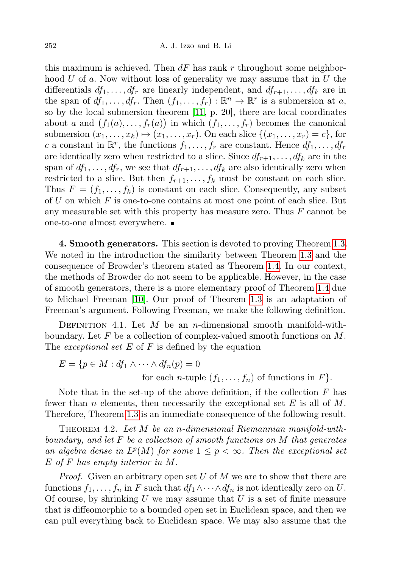this maximum is achieved. Then  $dF$  has rank r throughout some neighborhood  $U$  of  $a$ . Now without loss of generality we may assume that in  $U$  the differentials  $df_1, \ldots, df_r$  are linearly independent, and  $df_{r+1}, \ldots, df_k$  are in the span of  $df_1, \ldots, df_r$ . Then  $(f_1, \ldots, f_r) : \mathbb{R}^n \to \mathbb{R}^r$  is a submersion at a, so by the local submersion theorem [\[11,](#page-19-12) p. 20], there are local coordinates about a and  $(f_1(a),...,f_r(a))$  in which  $(f_1,...,f_r)$  becomes the canonical submersion  $(x_1, \ldots, x_k) \mapsto (x_1, \ldots, x_r)$ . On each slice  $\{(x_1, \ldots, x_r) = c\}$ , for c a constant in  $\mathbb{R}^r$ , the functions  $f_1, \ldots, f_r$  are constant. Hence  $df_1, \ldots, df_r$ are identically zero when restricted to a slice. Since  $df_{r+1}, \ldots, df_k$  are in the span of  $df_1, \ldots, df_r$ , we see that  $df_{r+1}, \ldots, df_k$  are also identically zero when restricted to a slice. But then  $f_{r+1}, \ldots, f_k$  must be constant on each slice. Thus  $F = (f_1, \ldots, f_k)$  is constant on each slice. Consequently, any subset of  $U$  on which  $F$  is one-to-one contains at most one point of each slice. But any measurable set with this property has measure zero. Thus  $F$  cannot be one-to-one almost everywhere.

4. Smooth generators. This section is devoted to proving Theorem [1.3.](#page-1-0) We noted in the introduction the similarity between Theorem [1.3](#page-1-0) and the consequence of Browder's theorem stated as Theorem [1.4.](#page-1-6) In our context, the methods of Browder do not seem to be applicable. However, in the case of smooth generators, there is a more elementary proof of Theorem [1.4](#page-1-6) due to Michael Freeman [\[10\]](#page-19-2). Our proof of Theorem [1.3](#page-1-0) is an adaptation of Freeman's argument. Following Freeman, we make the following definition.

DEFINITION 4.1. Let  $M$  be an *n*-dimensional smooth manifold-withboundary. Let  $F$  be a collection of complex-valued smooth functions on  $M$ . The *exceptional set*  $E$  of  $F$  is defined by the equation

$$
E = \{ p \in M : df_1 \wedge \cdots \wedge df_n(p) = 0
$$
  
for each *n*-tuple  $(f_1, \ldots, f_n)$  of functions in *F* \}.

Note that in the set-up of the above definition, if the collection  $F$  has fewer than n elements, then necessarily the exceptional set E is all of M. Therefore, Theorem [1.3](#page-1-0) is an immediate consequence of the following result.

THEOREM 4.2. Let  $M$  be an n-dimensional Riemannian manifold-withboundary, and let  $F$  be a collection of smooth functions on  $M$  that generates an algebra dense in  $L^p(M)$  for some  $1 \leq p < \infty$ . Then the exceptional set E of F has empty interior in M.

*Proof.* Given an arbitrary open set U of M we are to show that there are functions  $f_1, \ldots, f_n$  in F such that  $df_1 \wedge \cdots \wedge df_n$  is not identically zero on U. Of course, by shrinking  $U$  we may assume that  $U$  is a set of finite measure that is diffeomorphic to a bounded open set in Euclidean space, and then we can pull everything back to Euclidean space. We may also assume that the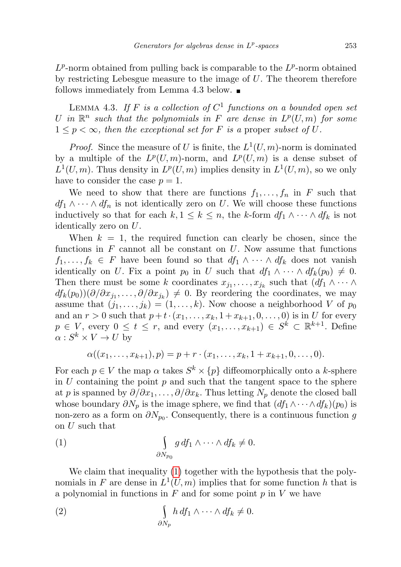$L^p$ -norm obtained from pulling back is comparable to the  $L^p$ -norm obtained by restricting Lebesgue measure to the image of  $U$ . The theorem therefore follows immediately from Lemma 4.3 below.

<span id="page-10-0"></span>LEMMA 4.3. If F is a collection of  $C^1$  functions on a bounded open set U in  $\mathbb{R}^n$  such that the polynomials in F are dense in  $L^p(U,m)$  for some  $1 \leq p < \infty$ , then the exceptional set for F is a proper subset of U.

*Proof.* Since the measure of U is finite, the  $L^1(U, m)$ -norm is dominated by a multiple of the  $L^p(U,m)$ -norm, and  $L^p(U,m)$  is a dense subset of  $L^1(U,m)$ . Thus density in  $L^p(U,m)$  implies density in  $L^1(U,m)$ , so we only have to consider the case  $p = 1$ .

We need to show that there are functions  $f_1, \ldots, f_n$  in F such that  $df_1 \wedge \cdots \wedge df_n$  is not identically zero on U. We will choose these functions inductively so that for each  $k, 1 \leq k \leq n$ , the k-form  $df_1 \wedge \cdots \wedge df_k$  is not identically zero on U.

When  $k = 1$ , the required function can clearly be chosen, since the functions in  $F$  cannot all be constant on  $U$ . Now assume that functions  $f_1, \ldots, f_k \in F$  have been found so that  $df_1 \wedge \cdots \wedge df_k$  does not vanish identically on U. Fix a point  $p_0$  in U such that  $df_1 \wedge \cdots \wedge df_k(p_0) \neq 0$ . Then there must be some k coordinates  $x_{j_1}, \ldots, x_{j_k}$  such that  $(df_1 \wedge \cdots \wedge$  $df_k(p_0)(\partial/\partial x_{j_1},\ldots,\partial/\partial x_{j_k}) \neq 0$ . By reordering the coordinates, we may assume that  $(j_1, \ldots, j_k) = (1, \ldots, k)$ . Now choose a neighborhood V of  $p_0$ and an  $r > 0$  such that  $p + t \cdot (x_1, ..., x_k, 1 + x_{k+1}, 0, ..., 0)$  is in U for every  $p \in V$ , every  $0 \leq t \leq r$ , and every  $(x_1, \ldots, x_{k+1}) \in S^k \subset \mathbb{R}^{k+1}$ . Define  $\alpha: S^k \times V \to U$  by

$$
\alpha((x_1,\ldots,x_{k+1}),p)=p+r\cdot(x_1,\ldots,x_k,1+x_{k+1},0,\ldots,0).
$$

For each  $p \in V$  the map  $\alpha$  takes  $S^k \times \{p\}$  diffeomorphically onto a k-sphere in  $U$  containing the point  $p$  and such that the tangent space to the sphere at p is spanned by  $\partial/\partial x_1, \ldots, \partial/\partial x_k$ . Thus letting  $N_p$  denote the closed ball whose boundary  $\partial N_p$  is the image sphere, we find that  $(df_1 \wedge \cdots \wedge df_k)(p_0)$  is non-zero as a form on  $\partial N_{p_0}$ . Consequently, there is a continuous function g on U such that

(1) 
$$
\int_{\partial N_{p_0}} g \, df_1 \wedge \cdots \wedge df_k \neq 0.
$$

We claim that inequality [\(1\)](#page-10-0) together with the hypothesis that the polynomials in F are dense in  $L^1(U,m)$  implies that for some function h that is a polynomial in functions in  $F$  and for some point  $p$  in  $V$  we have

(2) 
$$
\int_{\partial N_p} h \, df_1 \wedge \cdots \wedge df_k \neq 0.
$$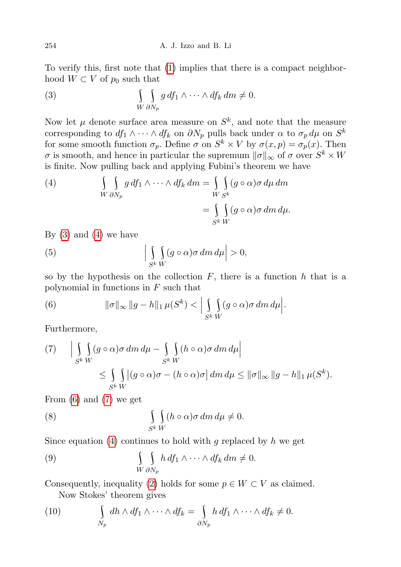To verify this, first note that [\(1\)](#page-10-0) implies that there is a compact neighborhood  $W \subset V$  of  $p_0$  such that

<span id="page-11-0"></span>(3) 
$$
\int\limits_{W \partial N_p} g \, df_1 \wedge \cdots \wedge df_k \, dm \neq 0.
$$

Now let  $\mu$  denote surface area measure on  $S^k$ , and note that the measure corresponding to  $df_1 \wedge \cdots \wedge df_k$  on  $\partial N_p$  pulls back under  $\alpha$  to  $\sigma_p d\mu$  on  $S^k$ for some smooth function  $\sigma_p$ . Define  $\sigma$  on  $S^k \times V$  by  $\sigma(x,p) = \sigma_p(x)$ . Then  $\sigma$  is smooth, and hence in particular the supremum  $\|\sigma\|_{\infty}$  of  $\sigma$  over  $S^k \times W$ is finite. Now pulling back and applying Fubini's theorem we have

(4) 
$$
\int\limits_{W \partial N_p} \int\limits_{\partial N_p} g \, df_1 \wedge \cdots \wedge df_k \, dm = \int\limits_{W \, S^k} \int\limits_{S^k} (g \circ \alpha) \sigma \, d\mu \, dm
$$

$$
= \int\limits_{S^k} \int\limits_W (g \circ \alpha) \sigma \, dm \, d\mu.
$$

By  $(3)$  and  $(4)$  we have

(5) 
$$
\left| \int_{S^k W} (g \circ \alpha) \sigma \, dm \, d\mu \right| > 0,
$$

so by the hypothesis on the collection  $F$ , there is a function  $h$  that is a polynomial in functions in  $F$  such that

<span id="page-11-1"></span>(6) 
$$
\|\sigma\|_{\infty} \|g-h\|_{1} \mu(S^{k}) < \Big| \int\limits_{S^{k}} \int\limits_{W} (g \circ \alpha) \sigma dm d\mu \Big|.
$$

Furthermore,

<span id="page-11-2"></span>
$$
(7) \qquad \Big| \int\limits_{S^k W} \int\limits_{W} (g \circ \alpha) \sigma \, dm \, d\mu - \int\limits_{S^k W} \int\limits_{W} (h \circ \alpha) \sigma \, dm \, d\mu \Big| \Big|
$$
  

$$
\leq \int\limits_{S^k W} \int\limits_{W} |(g \circ \alpha) \sigma - (h \circ \alpha) \sigma| \, dm \, d\mu \leq ||\sigma||_{\infty} ||g - h||_1 \, \mu(S^k).
$$

From [\(6\)](#page-11-1) and [\(7\)](#page-11-2) we get

(8) 
$$
\int_{S^k W} (h \circ \alpha) \sigma \, dm \, d\mu \neq 0.
$$

Since equation [\(4\)](#page-11-0) continues to hold with g replaced by h we get

<span id="page-11-3"></span>(9) 
$$
\int\limits_{W \partial N_p} h \, df_1 \wedge \cdots \wedge df_k \, dm \neq 0.
$$

Consequently, inequality [\(2\)](#page-10-0) holds for some  $p \in W \subset V$  as claimed. Now Stokes' theorem gives

(10) 
$$
\int_{N_p} dh \wedge df_1 \wedge \cdots \wedge df_k = \int_{\partial N_p} h df_1 \wedge \cdots \wedge df_k \neq 0.
$$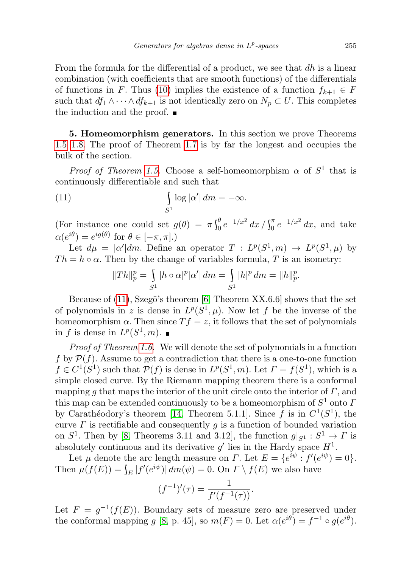From the formula for the differential of a product, we see that  $dh$  is a linear combination (with coefficients that are smooth functions) of the differentials of functions in F. Thus [\(10\)](#page-11-3) implies the existence of a function  $f_{k+1} \in F$ such that  $df_1 \wedge \cdots \wedge df_{k+1}$  is not identically zero on  $N_p \subset U$ . This completes the induction and the proof.

<span id="page-12-0"></span>5. Homeomorphism generators. In this section we prove Theorems [1.5](#page-1-3)[–1.8.](#page-1-4) The proof of Theorem [1.7](#page-1-2) is by far the longest and occupies the bulk of the section.

*Proof of Theorem [1.5.](#page-1-3)* Choose a self-homeomorphism  $\alpha$  of  $S^1$  that is continuously differentiable and such that

(11) 
$$
\int_{S^1} \log |\alpha'| dm = -\infty.
$$

(For instance one could set  $g(\theta) = \pi \int_0^{\theta} e^{-1/x^2} dx / \int_0^{\pi} e^{-1/x^2} dx$ , and take  $\alpha(e^{i\theta}) = e^{ig(\theta)}$  for  $\theta \in [-\pi, \pi]$ .)

Let  $d\mu = |\alpha'| dm$ . Define an operator  $T : L^p(S^1, m) \to L^p(S^1, \mu)$  by  $Th = h \circ \alpha$ . Then by the change of variables formula, T is an isometry:

$$
||Th||_p^p = \int_{S^1} |h \circ \alpha|^p |\alpha'| dm = \int_{S^1} |h|^p dm = ||h||_p^p.
$$

Because of  $(11)$ , Szegö's theorem [\[6,](#page-19-13) Theorem XX.6.6] shows that the set of polynomials in z is dense in  $L^p(S^1, \mu)$ . Now let f be the inverse of the homeomorphism  $\alpha$ . Then since  $Tf = z$ , it follows that the set of polynomials in f is dense in  $L^p(S^1, m)$ .

Proof of Theorem [1.6.](#page-1-7) We will denote the set of polynomials in a function f by  $P(f)$ . Assume to get a contradiction that there is a one-to-one function  $f \in C^1(S^1)$  such that  $\mathcal{P}(f)$  is dense in  $L^p(S^1, m)$ . Let  $\Gamma = f(S^1)$ , which is a simple closed curve. By the Riemann mapping theorem there is a conformal mapping g that maps the interior of the unit circle onto the interior of  $\Gamma$ , and this map can be extended continuously to be a homeomorphism of  $S^1$  onto  $I$ by Carathéodory's theorem [\[14,](#page-19-14) Theorem 5.1.1]. Since f is in  $C^1(S^1)$ , the curve  $\Gamma$  is rectifiable and consequently  $g$  is a function of bounded variation on  $S^1$ . Then by [\[8,](#page-19-15) Theorems 3.11 and 3.12], the function  $g|_{S^1} : S^1 \to \Gamma$  is absolutely continuous and its derivative  $g'$  lies in the Hardy space  $H^1$ .

Let  $\mu$  denote the arc length measure on  $\Gamma$ . Let  $E = \{e^{i\psi} : f'(e^{i\psi}) = 0\}.$ Then  $\mu(f(E)) = \int_E |f'(e^{i\psi})| dm(\psi) = 0$ . On  $\Gamma \setminus f(E)$  we also have

$$
(f^{-1})'(\tau) = \frac{1}{f'(f^{-1}(\tau))}.
$$

Let  $F = g^{-1}(f(E))$ . Boundary sets of measure zero are preserved under the conformal mapping g [\[8,](#page-19-15) p. 45], so  $m(F) = 0$ . Let  $\alpha(e^{i\theta}) = f^{-1} \circ g(e^{i\theta})$ .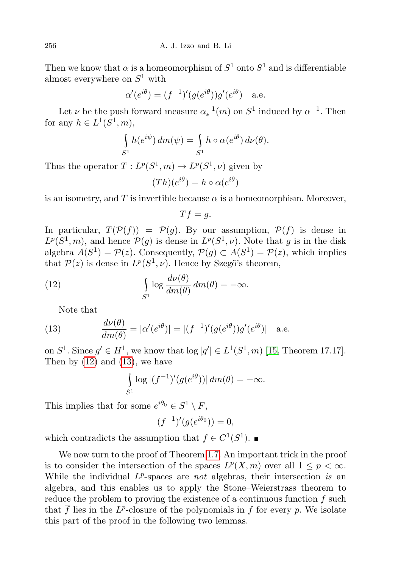Then we know that  $\alpha$  is a homeomorphism of  $S^1$  onto  $S^1$  and is differentiable almost everywhere on  $S^1$  with

$$
\alpha'(e^{i\theta}) = (f^{-1})'(g(e^{i\theta}))g'(e^{i\theta}) \quad \text{a.e.}
$$

Let  $\nu$  be the push forward measure  $\alpha_*^{-1}(m)$  on  $S^1$  induced by  $\alpha^{-1}$ . Then for any  $h \in L^1(S^1, m)$ ,

$$
\int_{S^1} h(e^{i\psi}) dm(\psi) = \int_{S^1} h \circ \alpha(e^{i\theta}) d\nu(\theta).
$$

Thus the operator  $T: L^p(S^1, m) \to L^p(S^1, \nu)$  given by

$$
(Th)(e^{i\theta}) = h \circ \alpha(e^{i\theta})
$$

is an isometry, and T is invertible because  $\alpha$  is a homeomorphism. Moreover,

$$
Tf=g.
$$

In particular,  $T(\mathcal{P}(f)) = \mathcal{P}(g)$ . By our assumption,  $\mathcal{P}(f)$  is dense in  $L^p(S^1, m)$ , and hence  $\mathcal{P}(g)$  is dense in  $L^p(S^1, \nu)$ . Note that g is in the disk algebra  $A(S^1) = \overline{\mathcal{P}(z)}$ . Consequently,  $\mathcal{P}(g) \subset A(S^1) = \overline{\mathcal{P}(z)}$ , which implies that  $\mathcal{P}(z)$  is dense in  $L^p(S^1, \nu)$ . Hence by Szegö's theorem,

(12) 
$$
\int_{S^1} \log \frac{d\nu(\theta)}{dm(\theta)} dm(\theta) = -\infty.
$$

Note that

(13) 
$$
\frac{d\nu(\theta)}{dm(\theta)} = |\alpha'(e^{i\theta})| = |(f^{-1})'(g(e^{i\theta}))g'(e^{i\theta})| \text{ a.e.}
$$

on  $S^1$ . Since  $g' \in H^1$ , we know that  $\log |g'| \in L^1(S^1, m)$  [\[15,](#page-19-16) Theorem 17.17]. Then by  $(12)$  and  $(13)$ , we have

$$
\int_{S^1} \log |(f^{-1})'(g(e^{i\theta}))| dm(\theta) = -\infty.
$$

This implies that for some  $e^{i\theta_0} \in S^1 \setminus F$ ,

$$
(f^{-1})'(g(e^{i\theta_0})) = 0,
$$

which contradicts the assumption that  $f \in C^1(S^1)$ .

We now turn to the proof of Theorem [1.7.](#page-1-2) An important trick in the proof is to consider the intersection of the spaces  $L^p(X, m)$  over all  $1 \leq p < \infty$ . While the individual  $L^p$ -spaces are *not* algebras, their intersection is an algebra, and this enables us to apply the Stone–Weierstrass theorem to reduce the problem to proving the existence of a continuous function f such that  $\overline{f}$  lies in the L<sup>p</sup>-closure of the polynomials in f for every p. We isolate this part of the proof in the following two lemmas.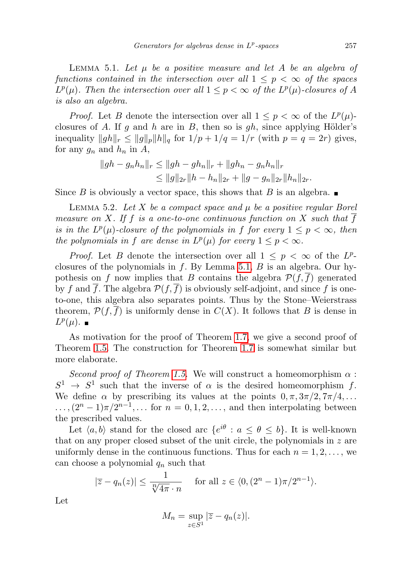<span id="page-14-0"></span>LEMMA 5.1. Let  $\mu$  be a positive measure and let A be an algebra of functions contained in the intersection over all  $1 \leq p < \infty$  of the spaces  $L^p(\mu)$ . Then the intersection over all  $1 \leq p < \infty$  of the  $L^p(\mu)$ -closures of A is also an algebra.

*Proof.* Let B denote the intersection over all  $1 \leq p < \infty$  of the  $L^p(\mu)$ closures of A. If g and h are in B, then so is gh, since applying Hölder's inequality  $||gh||_r \le ||g||_p ||h||_q$  for  $1/p + 1/q = 1/r$  (with  $p = q = 2r$ ) gives, for any  $g_n$  and  $h_n$  in A,

$$
||gh - g_n h_n||_r \le ||gh - gh_n||_r + ||gh_n - g_n h_n||_r
$$
  
\n
$$
\le ||g||_{2r} ||h - h_n||_{2r} + ||g - g_n||_{2r} ||h_n||_{2r}.
$$

Since B is obviously a vector space, this shows that B is an algebra.

<span id="page-14-1"></span>LEMMA 5.2. Let  $X$  be a compact space and  $\mu$  be a positive regular Borel measure on X. If f is a one-to-one continuous function on X such that f is in the  $L^p(\mu)$ -closure of the polynomials in f for every  $1 \leq p < \infty$ , then the polynomials in f are dense in  $L^p(\mu)$  for every  $1 \leq p < \infty$ .

*Proof.* Let B denote the intersection over all  $1 \leq p \leq \infty$  of the  $L^p$ closures of the polynomials in  $f$ . By Lemma [5.1,](#page-14-0)  $B$  is an algebra. Our hypothesis on f now implies that B contains the algebra  $\mathcal{P}(f, f)$  generated by f and f. The algebra  $\mathcal{P}(f, f)$  is obviously self-adjoint, and since f is oneto-one, this algebra also separates points. Thus by the Stone–Weierstrass theorem,  $\mathcal{P}(f, f)$  is uniformly dense in  $C(X)$ . It follows that B is dense in  $L^p(\mu)$ .

As motivation for the proof of Theorem [1.7,](#page-1-2) we give a second proof of Theorem [1.5.](#page-1-3) The construction for Theorem [1.7](#page-1-2) is somewhat similar but more elaborate.

Second proof of Theorem [1.5.](#page-1-3) We will construct a homeomorphism  $\alpha$ :  $S^1 \rightarrow S^1$  such that the inverse of  $\alpha$  is the desired homeomorphism f. We define  $\alpha$  by prescribing its values at the points  $0, \pi, 3\pi/2, 7\pi/4, \ldots$  $\ldots$ ,  $(2^n-1)\pi/2^{n-1}$ ,  $\ldots$  for  $n=0,1,2,\ldots$ , and then interpolating between the prescribed values.

Let  $\langle a, b \rangle$  stand for the closed arc  $\{e^{i\theta} : a \le \theta \le b\}$ . It is well-known that on any proper closed subset of the unit circle, the polynomials in  $z$  are uniformly dense in the continuous functions. Thus for each  $n = 1, 2, \ldots$ , we can choose a polynomial  $q_n$  such that

$$
|\overline{z} - q_n(z)| \le \frac{1}{\sqrt[n]{4\pi} \cdot n} \quad \text{for all } z \in \langle 0, (2^n - 1)\pi/2^{n-1} \rangle.
$$

Let

$$
M_n = \sup_{z \in S^1} |\overline{z} - q_n(z)|.
$$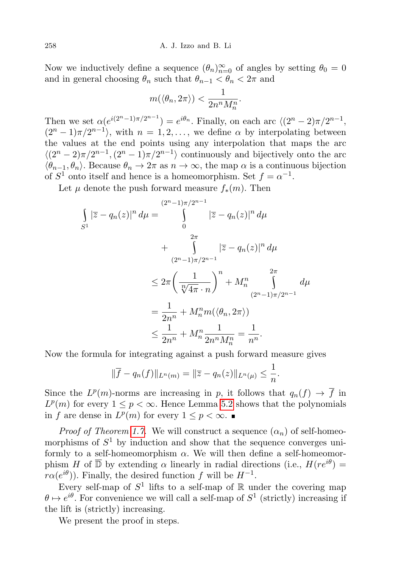Now we inductively define a sequence  $(\theta_n)_{n=0}^{\infty}$  of angles by setting  $\theta_0 = 0$ and in general choosing  $\theta_n$  such that  $\theta_{n-1} < \theta_n < 2\pi$  and

$$
m(\langle \theta_n, 2\pi \rangle) < \frac{1}{2n^n M_n^n}.
$$

Then we set  $\alpha(e^{i(2^n-1)\pi/2^{n-1}}) = e^{i\theta_n}$ . Finally, on each arc  $\langle (2^n-2)\pi/2^{n-1},$  $(2^{n}-1)\pi/2^{n-1}$ , with  $n=1,2,\ldots$ , we define  $\alpha$  by interpolating between the values at the end points using any interpolation that maps the arc  $\langle (2^n-2)\pi/2^{n-1}, (2^n-1)\pi/2^{n-1} \rangle$  continuously and bijectively onto the arc  $\langle \theta_{n-1}, \theta_n \rangle$ . Because  $\theta_n \to 2\pi$  as  $n \to \infty$ , the map  $\alpha$  is a continuous bijection of  $S^1$  onto itself and hence is a homeomorphism. Set  $f = \alpha^{-1}$ .

Let  $\mu$  denote the push forward measure  $f_*(m)$ . Then

$$
\int_{S^1} |\overline{z} - q_n(z)|^n d\mu = \int_{0}^{(2^n - 1)\pi/2^{n-1}} |\overline{z} - q_n(z)|^n d\mu
$$
  
+ 
$$
\int_{(2^n - 1)\pi/2^{n-1}}^{2\pi} |\overline{z} - q_n(z)|^n d\mu
$$
  

$$
\leq 2\pi \left(\frac{1}{\sqrt[n]{4\pi} \cdot n}\right)^n + M_n^n \int_{(2^n - 1)\pi/2^{n-1}}^{2\pi} d\mu
$$
  
= 
$$
\frac{1}{2n^n} + M_n^m m(\langle \theta_n, 2\pi \rangle)
$$
  

$$
\leq \frac{1}{2n^n} + M_n^n \frac{1}{2n^n M_n^n} = \frac{1}{n^n}.
$$

Now the formula for integrating against a push forward measure gives

$$
\|\overline{f} - q_n(f)\|_{L^n(m)} = \|\overline{z} - q_n(z)\|_{L^n(\mu)} \le \frac{1}{n}.
$$

Since the  $L^p(m)$ -norms are increasing in p, it follows that  $q_n(f) \to \overline{f}$  in  $L^p(m)$  for every  $1 \leq p < \infty$ . Hence Lemma [5.2](#page-14-1) shows that the polynomials in f are dense in  $L^p(m)$  for every  $1 \leq p < \infty$ .

*Proof of Theorem [1.7.](#page-1-2)* We will construct a sequence  $(\alpha_n)$  of self-homeomorphisms of  $S^1$  by induction and show that the sequence converges uniformly to a self-homeomorphism  $\alpha$ . We will then define a self-homeomorphism H of  $\overline{D}$  by extending  $\alpha$  linearly in radial directions (i.e.,  $H(re^{i\theta})=$  $r\alpha(e^{i\theta})$ ). Finally, the desired function f will be  $H^{-1}$ .

Every self-map of  $S^1$  lifts to a self-map of  $\mathbb R$  under the covering map  $\theta \mapsto e^{i\theta}$ . For convenience we will call a self-map of  $S^1$  (strictly) increasing if the lift is (strictly) increasing.

We present the proof in steps.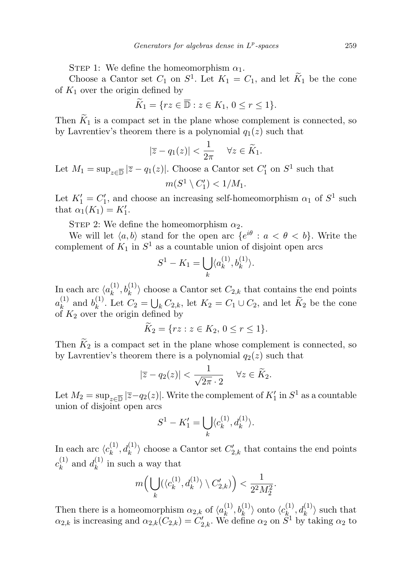STEP 1: We define the homeomorphism  $\alpha_1$ .

Choose a Cantor set  $C_1$  on  $S^1$ . Let  $K_1 = C_1$ , and let  $\widetilde{K}_1$  be the cone of  $K_1$  over the origin defined by

$$
\widetilde{K}_1 = \{ rz \in \overline{\mathbb{D}} : z \in K_1, \, 0 \le r \le 1 \}.
$$

Then  $\widetilde{K}_1$  is a compact set in the plane whose complement is connected, so by Lavrentiev's theorem there is a polynomial  $q_1(z)$  such that

$$
|\overline{z} - q_1(z)| < \frac{1}{2\pi} \quad \forall z \in \widetilde{K}_1.
$$

Let  $M_1 = \sup_{z \in \overline{\mathbb{D}}} |\overline{z} - q_1(z)|$ . Choose a Cantor set  $C'_1$  on  $S^1$  such that  $m(S^1 \setminus C'_1) < 1/M_1.$ 

Let  $K_1' = C_1'$ , and choose an increasing self-homeomorphism  $\alpha_1$  of  $S^1$  such that  $\alpha_1(K_1) = K'_1$ .

STEP 2: We define the homeomorphism  $\alpha_2$ .

We will let  $\langle a, b \rangle$  stand for the open arc  $\{e^{i\theta} : a < \theta < b\}$ . Write the complement of  $K_1$  in  $S^1$  as a countable union of disjoint open arcs

$$
S^1 - K_1 = \bigcup_k \langle a_k^{(1)}, b_k^{(1)} \rangle.
$$

In each arc  $\langle a_k^{(1)} \rangle$  $\langle k^{(1)}, b_k^{(1)} \rangle$  choose a Cantor set  $C_{2,k}$  that contains the end points  $a_k^{(1)}$  $\binom{1}{k}$  and  $b_k^{(1)}$ <sup>(1)</sup>. Let  $C_2 = \bigcup_k C_{2,k}$ , let  $K_2 = C_1 \cup C_2$ , and let  $K_2$  be the cone of  $K_2$  over the origin defined by

$$
\widetilde{K}_2 = \{ rz : z \in K_2, \, 0 \le r \le 1 \}.
$$

Then  $\widetilde{K}_2$  is a compact set in the plane whose complement is connected, so by Lavrentiev's theorem there is a polynomial  $q_2(z)$  such that

$$
|\overline{z} - q_2(z)| < \frac{1}{\sqrt{2\pi} \cdot 2} \quad \forall z \in \widetilde{K}_2.
$$

Let  $M_2 = \sup_{z \in \overline{\mathbb{D}}} |\overline{z} - q_2(z)|$ . Write the complement of  $K'_1$  in  $S^1$  as a countable union of disjoint open arcs

$$
S^1 - K'_1 = \bigcup_k \langle c_k^{(1)}, d_k^{(1)} \rangle.
$$

In each arc  $\langle c_k^{(1)} \rangle$  $\langle k^{(1)}, d_k^{(1)} \rangle$  choose a Cantor set  $C'_{2,k}$  that contains the end points  $c_k^{(1)}$  $\binom{1}{k}$  and  $d_k^{(1)}$  $\binom{1}{k}$  in such a way that

$$
m\Big(\bigcup_k(\langle c_k^{(1)},d_k^{(1)}\rangle\setminus C_{2,k}')\Big) < \frac{1}{2^2M_2^2}.
$$

Then there is a homeomorphism  $\alpha_{2,k}$  of  $\langle a_k^{(1)} \rangle$  $\langle k^{(1)},b_k^{(1)}\rangle$  onto  $\langle c_{k}^{(1)}\rangle$  $\langle k_{k}^{(1)},d_k^{(1)}\rangle$  such that  $\alpha_{2,k}$  is increasing and  $\alpha_{2,k}(C_{2,k}) = C'_{2,k}$ . We define  $\alpha_2$  on  $S^1$  by taking  $\alpha_2$  to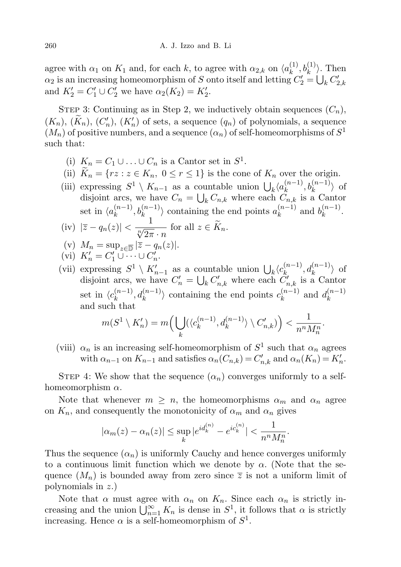agree with  $\alpha_1$  on  $K_1$  and, for each k, to agree with  $\alpha_{2,k}$  on  $\langle a_k^{(1)} \rangle$  $b_k^{(1)}, b_k^{(1)}\rangle$ . Then  $\alpha_2$  is an increasing homeomorphism of S onto itself and letting  $C_2' = \bigcup_k C_{2,k}'$ and  $K'_2 = C'_1 \cup C'_2$  we have  $\alpha_2(K_2) = K'_2$ .

STEP 3: Continuing as in Step 2, we inductively obtain sequences  $(C_n)$ ,  $(K_n)$ ,  $(K_n)$ ,  $(C'_n)$ ,  $(K'_n)$  of sets, a sequence  $(q_n)$  of polynomials, a sequence  $(M_n)$  of positive numbers, and a sequence  $(\alpha_n)$  of self-homeomorphisms of  $S^1$ such that:

- (i)  $K_n = C_1 \cup ... \cup C_n$  is a Cantor set in  $S^1$ .
- (ii)  $\widetilde{K}_n = \{rz : z \in K_n, 0 \le r \le 1\}$  is the cone of  $K_n$  over the origin.
- (iii) expressing  $S^1 \setminus K_{n-1}$  as a countable union  $\bigcup_k \langle a_k^{(n-1)} \rangle$  $\binom{(n-1)}{k}, b_k^{(n-1)}$  of disjoint arcs, we have  $C_n = \bigcup_k C_{n,k}$  where each  $C_{n,k}$  is a Cantor set in  $\langle a_k^{(n-1)} \rangle$  $\langle k \rangle_k^{(n-1)}, b_k^{(n-1)} \rangle$  containing the end points  $a_k^{(n-1)}$  $\binom{n-1}{k}$  and  $b_k^{(n-1)}$  $k^{(n-1)}$ . (iv)  $|\overline{z}-q_n(z)| < \frac{1}{\sqrt[n]{2\pi} \cdot n}$  for all  $z \in \widetilde{K}_n$ .
- (v)  $M_n = \sup_{z \in \overline{\mathbb{D}}} |\overline{z} q_n(z)|.$

$$
(vi) K'_n = C'_1 \cup \cdots \cup C'_n.
$$

(vii) expressing  $S^1 \setminus K'_{n-1}$  as a countable union  $\bigcup_k \langle c_k^{(n-1)} \rangle$  $d_k^{(n-1)}, d_k^{(n-1)}$  of disjoint arcs, we have  $C'_n = \bigcup_k C'_{n,k}$  where each  $C'_{n,k}$  is a Cantor set in  $\langle c_k^{(n-1)} \rangle$  $\langle k^{(n-1)} \rangle_{k}$ ,  $d_k^{(n-1)}$  containing the end points  $c_k^{(n-1)}$  $a_k^{(n-1)}$  and  $d_k^{(n-1)}$ k and such that

$$
m(S^1\setminus K_n')=m\Big(\bigcup_k(\langle c_k^{(n-1)},d_k^{(n-1)}\rangle\setminus C_{n,k}')\Big)<\frac{1}{n^nM_n^n}.
$$

(viii)  $\alpha_n$  is an increasing self-homeomorphism of  $S^1$  such that  $\alpha_n$  agrees with  $\alpha_{n-1}$  on  $K_{n-1}$  and satisfies  $\alpha_n(C_{n,k}) = C'_{n,k}$  and  $\alpha_n(K_n) = K'_n$ .

STEP 4: We show that the sequence  $(\alpha_n)$  converges uniformly to a selfhomeomorphism  $\alpha$ .

Note that whenever  $m \geq n$ , the homeomorphisms  $\alpha_m$  and  $\alpha_n$  agree on  $K_n$ , and consequently the monotonicity of  $\alpha_m$  and  $\alpha_n$  gives

$$
|\alpha_m(z) - \alpha_n(z)| \le \sup_k |e^{id_k^{(n)}} - e^{ic_k^{(n)}}| < \frac{1}{n^n M_n^n}.
$$

Thus the sequence  $(\alpha_n)$  is uniformly Cauchy and hence converges uniformly to a continuous limit function which we denote by  $\alpha$ . (Note that the sequence  $(M_n)$  is bounded away from zero since  $\overline{z}$  is not a uniform limit of polynomials in z.)

Note that  $\alpha$  must agree with  $\alpha_n$  on  $K_n$ . Since each  $\alpha_n$  is strictly increasing and the union  $\bigcup_{n=1}^{\infty} K_n$  is dense in  $S^1$ , it follows that  $\alpha$  is strictly increasing. Hence  $\alpha$  is a self-homeomorphism of  $S^1$ .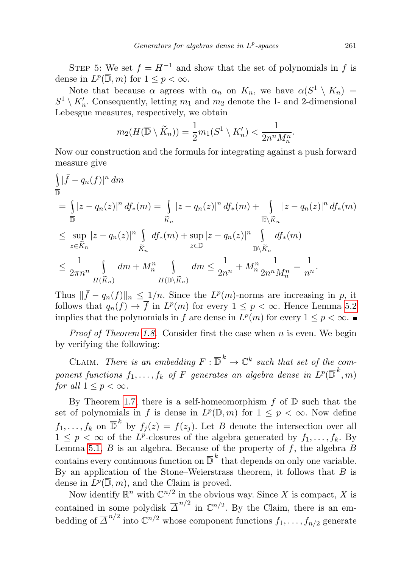STEP 5: We set  $f = H^{-1}$  and show that the set of polynomials in f is dense in  $L^p(\overline{\mathbb{D}}, m)$  for  $1 \leq p < \infty$ .

Note that because  $\alpha$  agrees with  $\alpha_n$  on  $K_n$ , we have  $\alpha(S^1 \setminus K_n)$  =  $S^1 \setminus K'_n$ . Consequently, letting  $m_1$  and  $m_2$  denote the 1- and 2-dimensional Lebesgue measures, respectively, we obtain

$$
m_2(H(\overline{\mathbb{D}} \setminus \widetilde{K}_n)) = \frac{1}{2}m_1(S^1 \setminus K'_n) < \frac{1}{2n^n M_n^n}.
$$

Now our construction and the formula for integrating against a push forward measure give

$$
\begin{split}\n&\int_{\overline{\mathbb{D}}} |\bar{f} - q_n(f)|^n \, dm \\
&= \int_{\overline{\mathbb{D}}} |\bar{z} - q_n(z)|^n \, df_*(m) = \int_{\widetilde{K}_n} |\bar{z} - q_n(z)|^n \, df_*(m) + \int_{\overline{\mathbb{D}} \setminus \widetilde{K}_n} |\bar{z} - q_n(z)|^n \, df_*(m) \\
&\leq \sup_{z \in \widetilde{K}_n} |\bar{z} - q_n(z)|^n \int_{\widetilde{K}_n} df_*(m) + \sup_{z \in \overline{\mathbb{D}}} |\bar{z} - q_n(z)|^n \int_{\overline{\mathbb{D}} \setminus \widetilde{K}_n} df_*(m) \\
&\leq \frac{1}{2\pi n^n} \int_{H(\widetilde{K}_n)} dm + M_n^n \int_{H(\overline{\mathbb{D}} \setminus \widetilde{K}_n)} dm \leq \frac{1}{2n^n} + M_n^n \frac{1}{2n^n M_n^n} = \frac{1}{n^n}.\n\end{split}
$$

Thus  $\|\bar{f} - q_n(f)\|_n \leq 1/n$ . Since the  $L^p(m)$ -norms are increasing in p, it follows that  $q_n(f) \to \overline{f}$  in  $L^p(m)$  for every  $1 \leq p < \infty$ . Hence Lemma [5.2](#page-14-1) implies that the polynomials in f are dense in  $L^p(m)$  for every  $1 \leq p < \infty$ .

*Proof of Theorem [1.8.](#page-1-4)* Consider first the case when  $n$  is even. We begin by verifying the following:

CLAIM. There is an embedding  $F : \overline{\mathbb{D}}^k \to \mathbb{C}^k$  such that set of the component functions  $f_1,\ldots,f_k$  of  $F$  generates an algebra dense in  $L^p(\overline{\mathbb{D}}^{\,k},m)$ for all  $1 \leq p < \infty$ .

By Theorem [1.7,](#page-1-2) there is a self-homeomorphism f of  $\overline{D}$  such that the set of polynomials in f is dense in  $L^p(\overline{\mathbb{D}}, m)$  for  $1 \leq p < \infty$ . Now define  $f_1, \ldots, f_k$  on  $\overline{\mathbb{D}}^k$  by  $f_j(z) = f(z_j)$ . Let B denote the intersection over all  $1 \leq p < \infty$  of the L<sup>p</sup>-closures of the algebra generated by  $f_1, \ldots, f_k$ . By Lemma [5.1,](#page-14-0)  $B$  is an algebra. Because of the property of  $f$ , the algebra  $B$ contains every continuous function on  $\overline{\mathbb{D}}^k$  that depends on only one variable. By an application of the Stone–Weierstrass theorem, it follows that  $B$  is dense in  $L^p(\overline{\mathbb{D}}, m)$ , and the Claim is proved.

Now identify  $\mathbb{R}^n$  with  $\mathbb{C}^{n/2}$  in the obvious way. Since X is compact, X is contained in some polydisk  $\overline{\Delta}^{n/2}$  in  $\mathbb{C}^{n/2}$ . By the Claim, there is an embedding of  $\overline{\Delta}^{n/2}$  into  $\mathbb{C}^{n/2}$  whose component functions  $f_1, \ldots, f_{n/2}$  generate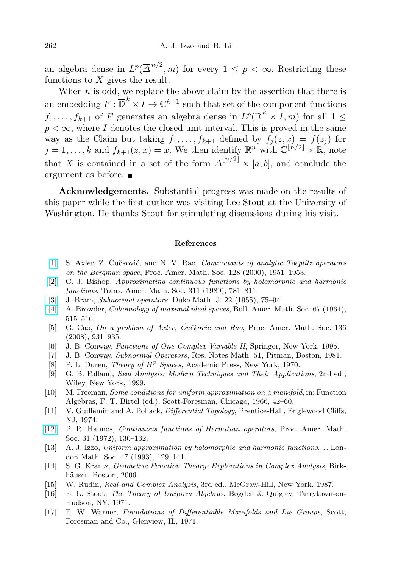an algebra dense in  $L^p(\overline{\Delta}^{n/2}, m)$  for every  $1 \leq p < \infty$ . Restricting these functions to  $X$  gives the result.

When  $n$  is odd, we replace the above claim by the assertion that there is an embedding  $F: \overline{\mathbb{D}}^k \times I \to \mathbb{C}^{k+1}$  such that set of the component functions  $f_1, \ldots, f_{k+1}$  of F generates an algebra dense in  $L^p(\overline{\mathbb{D}}^k \times I, m)$  for all  $1 \leq$  $p < \infty$ , where I denotes the closed unit interval. This is proved in the same way as the Claim but taking  $f_1, \ldots, f_{k+1}$  defined by  $f_j(z, x) = f(z_j)$  for  $j = 1, \ldots, k$  and  $f_{k+1}(z, x) = x$ . We then identify  $\mathbb{R}^n$  with  $\mathbb{C}^{\lfloor n/2 \rfloor} \times \mathbb{R}$ , note that X is contained in a set of the form  $\overline{\Delta}^{n/2} \times [a, b]$ , and conclude the argument as before.

Acknowledgements. Substantial progress was made on the results of this paper while the first author was visiting Lee Stout at the University of Washington. He thanks Stout for stimulating discussions during his visit.

## References

- <span id="page-19-7"></span>[\[1\]](http://dx.doi.org/10.1090/S0002-9939-99-05436-2) S. Axler, Z. Cučković, and N. V. Rao, *Commutants of analytic Toeplitz operators* on the Bergman space, Proc. Amer. Math. Soc. 128 (2000), 1951–1953.
- <span id="page-19-9"></span>[\[2\]](http://dx.doi.org/10.1090/S0002-9947-1989-0961619-2) C. J. Bishop, Approximating continuous functions by holomorphic and harmonic functions, Trans. Amer. Math. Soc. 311 (1989), 781–811.
- <span id="page-19-4"></span>[\[3\]](http://dx.doi.org/10.1215/S0012-7094-55-02207-9) J. Bram, Subnormal operators, Duke Math. J. 22 (1955), 75–94.
- <span id="page-19-0"></span>[\[4\]](http://dx.doi.org/10.1090/S0002-9904-1961-10663-0) A. Browder, Cohomology of maximal ideal spaces, Bull. Amer. Math. Soc. 67 (1961), 515–516.
- <span id="page-19-6"></span>[5] G. Cao, On a problem of Axler, Čučkovic and Rao, Proc. Amer. Math. Soc. 136 (2008), 931–935.
- <span id="page-19-13"></span>[6] J. B. Conway, Functions of One Complex Variable II, Springer, New York, 1995.
- <span id="page-19-5"></span>[7] J. B. Conway, Subnormal Operators, Res. Notes Math. 51, Pitman, Boston, 1981.
- <span id="page-19-15"></span>[8] P. L. Duren, *Theory of*  $H^p$  *Spaces*, Academic Press, New York, 1970.
- <span id="page-19-11"></span>[9] G. B. Folland, Real Analysis: Modern Techniques and Their Applications, 2nd ed., Wiley, New York, 1999.
- <span id="page-19-2"></span>[10] M. Freeman, Some conditions for uniform approximation on a manifold, in: Function Algebras, F. T. Birtel (ed.), Scott-Foresman, Chicago, 1966, 42–60.
- <span id="page-19-12"></span>[11] V. Guillemin and A. Pollack, Differential Topology, Prentice-Hall, Englewood Cliffs, NJ, 1974.
- <span id="page-19-10"></span>[\[12\]](http://dx.doi.org/10.1090/S0002-9939-1972-0288617-1) P. R. Halmos, Continuous functions of Hermitian operators, Proc. Amer. Math. Soc. 31 (1972), 130–132.
- <span id="page-19-8"></span>[13] A. J. Izzo, Uniform approximation by holomorphic and harmonic functions, J. London Math. Soc. 47 (1993), 129–141.
- <span id="page-19-14"></span>[14] S. G. Krantz, Geometric Function Theory: Explorations in Complex Analysis, Birkhäuser, Boston, 2006.
- <span id="page-19-16"></span>[15] W. Rudin, Real and Complex Analysis, 3rd ed., McGraw-Hill, New York, 1987.
- <span id="page-19-1"></span>[16] E. L. Stout, The Theory of Uniform Algebras, Bogden & Quigley, Tarrytown-on-Hudson, NY, 1971.
- <span id="page-19-3"></span>[17] F. W. Warner, Foundations of Differentiable Manifolds and Lie Groups, Scott, Foresman and Co., Glenview, IL, 1971.